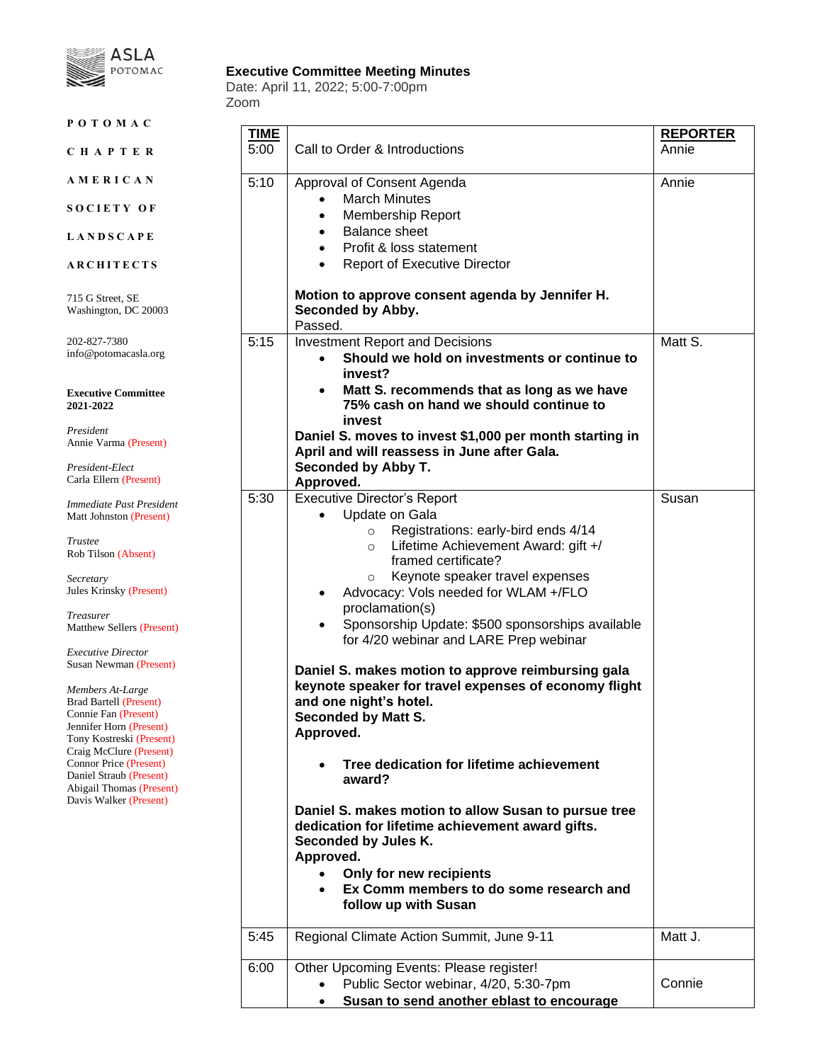

## **Executive Committee Meeting Minutes**

Date: April 11, 2022; 5:00-7:00pm Zoom

| POTOMAC                                                                                                                                                                                                                                                                                                                                                                                                                                                                                                         |                     |                                                                                                                                                                                                                                                                                                                                                                                                                                                                                                                                                                                                                                                                                                                                                                                                                                                                                 |                          |
|-----------------------------------------------------------------------------------------------------------------------------------------------------------------------------------------------------------------------------------------------------------------------------------------------------------------------------------------------------------------------------------------------------------------------------------------------------------------------------------------------------------------|---------------------|---------------------------------------------------------------------------------------------------------------------------------------------------------------------------------------------------------------------------------------------------------------------------------------------------------------------------------------------------------------------------------------------------------------------------------------------------------------------------------------------------------------------------------------------------------------------------------------------------------------------------------------------------------------------------------------------------------------------------------------------------------------------------------------------------------------------------------------------------------------------------------|--------------------------|
| CHAPTER                                                                                                                                                                                                                                                                                                                                                                                                                                                                                                         | <b>TIME</b><br>5:00 | Call to Order & Introductions                                                                                                                                                                                                                                                                                                                                                                                                                                                                                                                                                                                                                                                                                                                                                                                                                                                   | <b>REPORTER</b><br>Annie |
| AMERICAN                                                                                                                                                                                                                                                                                                                                                                                                                                                                                                        | 5:10                | Approval of Consent Agenda                                                                                                                                                                                                                                                                                                                                                                                                                                                                                                                                                                                                                                                                                                                                                                                                                                                      | Annie                    |
| SOCIETY OF                                                                                                                                                                                                                                                                                                                                                                                                                                                                                                      |                     | <b>March Minutes</b><br><b>Membership Report</b><br>$\bullet$                                                                                                                                                                                                                                                                                                                                                                                                                                                                                                                                                                                                                                                                                                                                                                                                                   |                          |
| <b>LANDSCAPE</b>                                                                                                                                                                                                                                                                                                                                                                                                                                                                                                |                     | <b>Balance sheet</b><br>$\bullet$<br>Profit & loss statement<br>$\bullet$                                                                                                                                                                                                                                                                                                                                                                                                                                                                                                                                                                                                                                                                                                                                                                                                       |                          |
| <b>ARCHITECTS</b>                                                                                                                                                                                                                                                                                                                                                                                                                                                                                               |                     | <b>Report of Executive Director</b><br>$\bullet$                                                                                                                                                                                                                                                                                                                                                                                                                                                                                                                                                                                                                                                                                                                                                                                                                                |                          |
| 715 G Street, SE<br>Washington, DC 20003                                                                                                                                                                                                                                                                                                                                                                                                                                                                        |                     | Motion to approve consent agenda by Jennifer H.<br>Seconded by Abby.<br>Passed.                                                                                                                                                                                                                                                                                                                                                                                                                                                                                                                                                                                                                                                                                                                                                                                                 |                          |
| 202-827-7380<br>info@potomacasla.org                                                                                                                                                                                                                                                                                                                                                                                                                                                                            | 5:15                | <b>Investment Report and Decisions</b><br>Should we hold on investments or continue to<br>invest?                                                                                                                                                                                                                                                                                                                                                                                                                                                                                                                                                                                                                                                                                                                                                                               | Matt S.                  |
| <b>Executive Committee</b><br>2021-2022                                                                                                                                                                                                                                                                                                                                                                                                                                                                         |                     | Matt S. recommends that as long as we have<br>٠<br>75% cash on hand we should continue to<br>invest                                                                                                                                                                                                                                                                                                                                                                                                                                                                                                                                                                                                                                                                                                                                                                             |                          |
| President<br>Annie Varma (Present)                                                                                                                                                                                                                                                                                                                                                                                                                                                                              |                     | Daniel S. moves to invest \$1,000 per month starting in<br>April and will reassess in June after Gala.                                                                                                                                                                                                                                                                                                                                                                                                                                                                                                                                                                                                                                                                                                                                                                          |                          |
| President-Elect<br>Carla Ellern (Present)                                                                                                                                                                                                                                                                                                                                                                                                                                                                       |                     | Seconded by Abby T.<br>Approved.                                                                                                                                                                                                                                                                                                                                                                                                                                                                                                                                                                                                                                                                                                                                                                                                                                                |                          |
| Immediate Past President<br>Matt Johnston (Present)<br>Trustee<br>Rob Tilson (Absent)<br>Secretary<br>Jules Krinsky (Present)<br>Treasurer<br>Matthew Sellers (Present)<br><b>Executive Director</b><br>Susan Newman (Present)<br>Members At-Large<br><b>Brad Bartell (Present)</b><br>Connie Fan (Present)<br>Jennifer Horn (Present)<br>Tony Kostreski (Present)<br>Craig McClure (Present)<br><b>Connor Price (Present)</b><br>Daniel Straub (Present)<br>Abigail Thomas (Present)<br>Davis Walker (Present) | 5:30                | <b>Executive Director's Report</b><br>Update on Gala<br>Registrations: early-bird ends 4/14<br>$\circ$<br>Lifetime Achievement Award: gift +/<br>$\circ$<br>framed certificate?<br>Keynote speaker travel expenses<br>$\circ$<br>Advocacy: Vols needed for WLAM +/FLO<br>proclamation(s)<br>Sponsorship Update: \$500 sponsorships available<br>for 4/20 webinar and LARE Prep webinar<br>Daniel S. makes motion to approve reimbursing gala<br>keynote speaker for travel expenses of economy flight<br>and one night's hotel.<br><b>Seconded by Matt S.</b><br>Approved.<br>Tree dedication for lifetime achievement<br>award?<br>Daniel S. makes motion to allow Susan to pursue tree<br>dedication for lifetime achievement award gifts.<br>Seconded by Jules K.<br>Approved.<br>Only for new recipients<br>Ex Comm members to do some research and<br>follow up with Susan | Susan                    |
|                                                                                                                                                                                                                                                                                                                                                                                                                                                                                                                 | 5:45                | Regional Climate Action Summit, June 9-11                                                                                                                                                                                                                                                                                                                                                                                                                                                                                                                                                                                                                                                                                                                                                                                                                                       | Matt J.                  |
|                                                                                                                                                                                                                                                                                                                                                                                                                                                                                                                 | 6:00                | Other Upcoming Events: Please register!<br>Public Sector webinar, 4/20, 5:30-7pm<br>Susan to send another eblast to encourage                                                                                                                                                                                                                                                                                                                                                                                                                                                                                                                                                                                                                                                                                                                                                   | Connie                   |